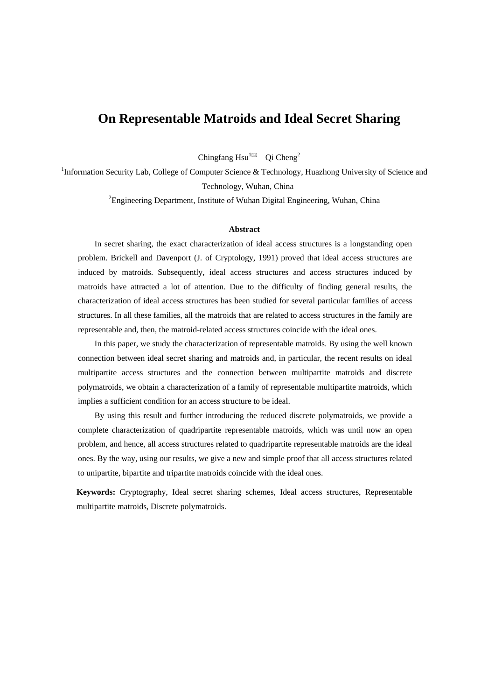# **On Representable Matroids and Ideal Secret Sharing**

Chingfang Hsu<sup>1 $\boxtimes$ </sup> Oi Cheng<sup>2</sup>

<sup>1</sup>Information Security Lab, College of Computer Science & Technology, Huazhong University of Science and Technology, Wuhan, China

<sup>2</sup> Engineering Department, Institute of Wuhan Digital Engineering, Wuhan, China

#### **Abstract**

In secret sharing, the exact characterization of ideal access structures is a longstanding open problem. Brickell and Davenport (J. of Cryptology, 1991) proved that ideal access structures are induced by matroids. Subsequently, ideal access structures and access structures induced by matroids have attracted a lot of attention. Due to the difficulty of finding general results, the characterization of ideal access structures has been studied for several particular families of access structures. In all these families, all the matroids that are related to access structures in the family are representable and, then, the matroid-related access structures coincide with the ideal ones.

In this paper, we study the characterization of representable matroids. By using the well known connection between ideal secret sharing and matroids and, in particular, the recent results on ideal multipartite access structures and the connection between multipartite matroids and discrete polymatroids, we obtain a characterization of a family of representable multipartite matroids, which implies a sufficient condition for an access structure to be ideal.

By using this result and further introducing the reduced discrete polymatroids, we provide a complete characterization of quadripartite representable matroids, which was until now an open problem, and hence, all access structures related to quadripartite representable matroids are the ideal ones. By the way, using our results, we give a new and simple proof that all access structures related to unipartite, bipartite and tripartite matroids coincide with the ideal ones.

**Keywords:** Cryptography, Ideal secret sharing schemes, Ideal access structures, Representable multipartite matroids, Discrete polymatroids.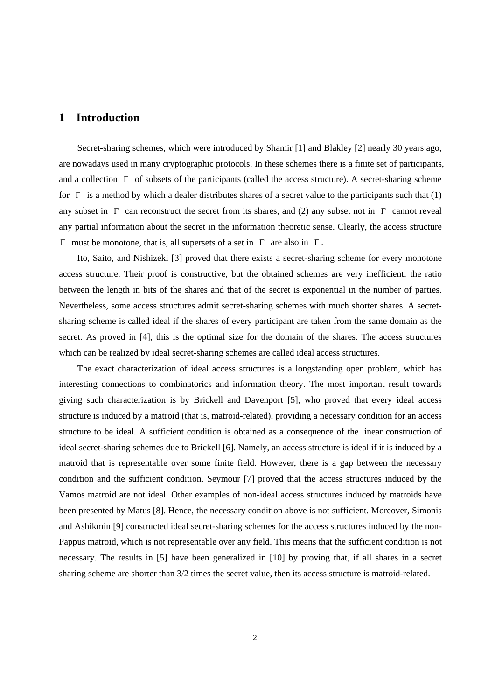# **1 Introduction**

Secret-sharing schemes, which were introduced by Shamir [1] and Blakley [2] nearly 30 years ago, are nowadays used in many cryptographic protocols. In these schemes there is a finite set of participants, and a collection  $\Gamma$  of subsets of the participants (called the access structure). A secret-sharing scheme for  $\Gamma$  is a method by which a dealer distributes shares of a secret value to the participants such that (1) any subset in  $\Gamma$  can reconstruct the secret from its shares, and (2) any subset not in  $\Gamma$  cannot reveal any partial information about the secret in the information theoretic sense. Clearly, the access structure  $Γ$  must be monotone, that is, all supersets of a set in  $Γ$  are also in  $Γ$ .

Ito, Saito, and Nishizeki [3] proved that there exists a secret-sharing scheme for every monotone access structure. Their proof is constructive, but the obtained schemes are very inefficient: the ratio between the length in bits of the shares and that of the secret is exponential in the number of parties. Nevertheless, some access structures admit secret-sharing schemes with much shorter shares. A secretsharing scheme is called ideal if the shares of every participant are taken from the same domain as the secret. As proved in [4], this is the optimal size for the domain of the shares. The access structures which can be realized by ideal secret-sharing schemes are called ideal access structures.

The exact characterization of ideal access structures is a longstanding open problem, which has interesting connections to combinatorics and information theory. The most important result towards giving such characterization is by Brickell and Davenport [5], who proved that every ideal access structure is induced by a matroid (that is, matroid-related), providing a necessary condition for an access structure to be ideal. A sufficient condition is obtained as a consequence of the linear construction of ideal secret-sharing schemes due to Brickell [6]. Namely, an access structure is ideal if it is induced by a matroid that is representable over some finite field. However, there is a gap between the necessary condition and the sufficient condition. Seymour [7] proved that the access structures induced by the Vamos matroid are not ideal. Other examples of non-ideal access structures induced by matroids have been presented by Matus [8]. Hence, the necessary condition above is not sufficient. Moreover, Simonis and Ashikmin [9] constructed ideal secret-sharing schemes for the access structures induced by the non-Pappus matroid, which is not representable over any field. This means that the sufficient condition is not necessary. The results in [5] have been generalized in [10] by proving that, if all shares in a secret sharing scheme are shorter than 3/2 times the secret value, then its access structure is matroid-related.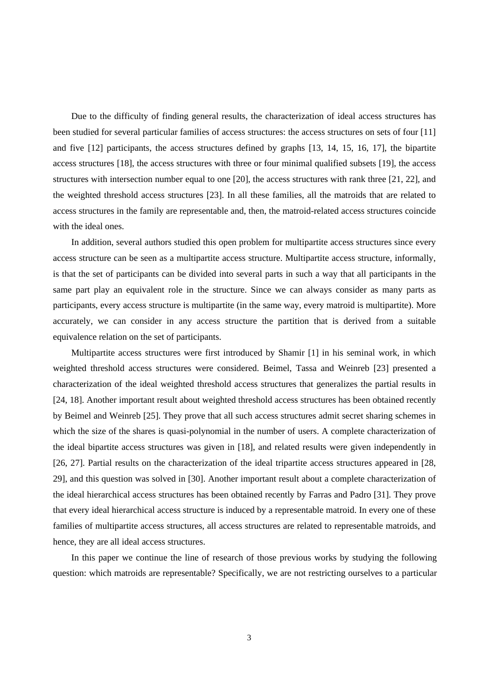Due to the difficulty of finding general results, the characterization of ideal access structures has been studied for several particular families of access structures: the access structures on sets of four [11] and five [12] participants, the access structures defined by graphs [13, 14, 15, 16, 17], the bipartite access structures [18], the access structures with three or four minimal qualified subsets [19], the access structures with intersection number equal to one [20], the access structures with rank three [21, 22], and the weighted threshold access structures [23]. In all these families, all the matroids that are related to access structures in the family are representable and, then, the matroid-related access structures coincide with the ideal ones.

In addition, several authors studied this open problem for multipartite access structures since every access structure can be seen as a multipartite access structure. Multipartite access structure, informally, is that the set of participants can be divided into several parts in such a way that all participants in the same part play an equivalent role in the structure. Since we can always consider as many parts as participants, every access structure is multipartite (in the same way, every matroid is multipartite). More accurately, we can consider in any access structure the partition that is derived from a suitable equivalence relation on the set of participants.

Multipartite access structures were first introduced by Shamir [1] in his seminal work, in which weighted threshold access structures were considered. Beimel, Tassa and Weinreb [23] presented a characterization of the ideal weighted threshold access structures that generalizes the partial results in [24, 18]. Another important result about weighted threshold access structures has been obtained recently by Beimel and Weinreb [25]. They prove that all such access structures admit secret sharing schemes in which the size of the shares is quasi-polynomial in the number of users. A complete characterization of the ideal bipartite access structures was given in [18], and related results were given independently in [26, 27]. Partial results on the characterization of the ideal tripartite access structures appeared in [28, 29], and this question was solved in [30]. Another important result about a complete characterization of the ideal hierarchical access structures has been obtained recently by Farras and Padro [31]. They prove that every ideal hierarchical access structure is induced by a representable matroid. In every one of these families of multipartite access structures, all access structures are related to representable matroids, and hence, they are all ideal access structures.

In this paper we continue the line of research of those previous works by studying the following question: which matroids are representable? Specifically, we are not restricting ourselves to a particular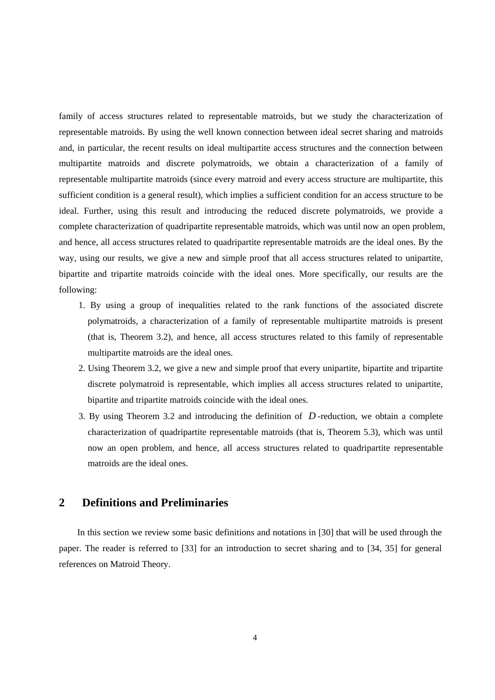family of access structures related to representable matroids, but we study the characterization of representable matroids. By using the well known connection between ideal secret sharing and matroids and, in particular, the recent results on ideal multipartite access structures and the connection between multipartite matroids and discrete polymatroids, we obtain a characterization of a family of representable multipartite matroids (since every matroid and every access structure are multipartite, this sufficient condition is a general result), which implies a sufficient condition for an access structure to be ideal. Further, using this result and introducing the reduced discrete polymatroids, we provide a complete characterization of quadripartite representable matroids, which was until now an open problem, and hence, all access structures related to quadripartite representable matroids are the ideal ones. By the way, using our results, we give a new and simple proof that all access structures related to unipartite, bipartite and tripartite matroids coincide with the ideal ones. More specifically, our results are the following:

- 1. By using a group of inequalities related to the rank functions of the associated discrete polymatroids, a characterization of a family of representable multipartite matroids is present (that is, Theorem 3.2), and hence, all access structures related to this family of representable multipartite matroids are the ideal ones.
- 2. Using Theorem 3.2, we give a new and simple proof that every unipartite, bipartite and tripartite discrete polymatroid is representable, which implies all access structures related to unipartite, bipartite and tripartite matroids coincide with the ideal ones.
- 3. By using Theorem 3.2 and introducing the definition of  $D$ -reduction, we obtain a complete characterization of quadripartite representable matroids (that is, Theorem 5.3), which was until now an open problem, and hence, all access structures related to quadripartite representable matroids are the ideal ones.

### **2 Definitions and Preliminaries**

In this section we review some basic definitions and notations in [30] that will be used through the paper. The reader is referred to [33] for an introduction to secret sharing and to [34, 35] for general references on Matroid Theory.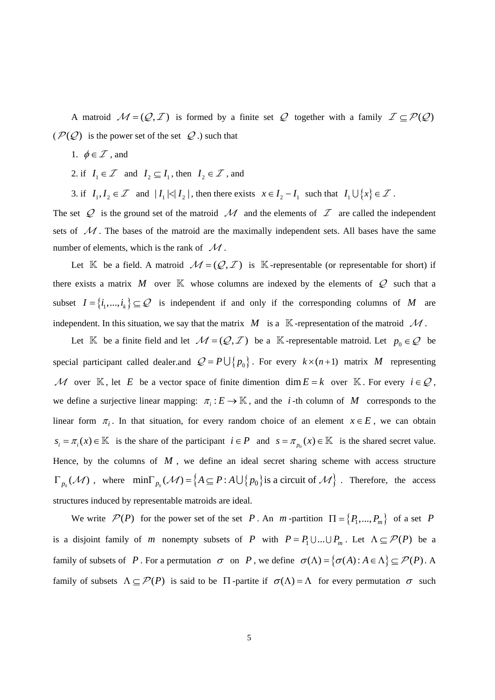A matroid  $M = (Q, \mathcal{I})$  is formed by a finite set Q together with a family  $\mathcal{I} \subseteq \mathcal{P}(\mathcal{Q})$  $(\mathcal{P}(\mathcal{Q})$  is the power set of the set  $\mathcal Q$ .) such that

- 1.  $\phi \in \mathcal{I}$ , and
- 2. if  $I_1 \in \mathcal{I}$  and  $I_2 \subseteq I_1$ , then  $I_2 \in \mathcal{I}$ , and

3. if  $I_1, I_2 \in \mathcal{I}$  and  $|I_1| \leq |I_2|$ , then there exists  $x \in I_2 - I_1$  such that  $I_1 \cup \{x\} \in \mathcal{I}$ .

The set  $Q$  is the ground set of the matroid  $M$  and the elements of  $I$  are called the independent sets of  $\mathcal M$ . The bases of the matroid are the maximally independent sets. All bases have the same number of elements, which is the rank of  $\mathcal{M}$ .

Let  $\mathbb K$  be a field. A matroid  $\mathcal M = (\mathcal Q, \mathcal I)$  is  $\mathbb K$ -representable (or representable for short) if there exists a matrix M over  $\mathbb K$  whose columns are indexed by the elements of  $\mathcal Q$  such that a subset  $I = \{i_1, ..., i_k\} \subseteq \mathcal{Q}$  is independent if and only if the corresponding columns of *M* are independent. In this situation, we say that the matrix  $M$  is a  $\mathbb K$ -representation of the matroid  $\mathcal M$ .

Let K be a finite field and let  $M = (Q, \mathcal{I})$  be a K-representable matroid. Let  $p_0 \in \mathcal{Q}$  be special participant called dealer.and  $Q = P \bigcup \{p_0\}$ . For every  $k \times (n+1)$  matrix *M* representing M over K, let *E* be a vector space of finite dimention dim  $E = k$  over K. For every  $i \in \mathcal{Q}$ , we define a surjective linear mapping:  $\pi_i : E \to \mathbb{K}$ , and the *i*-th column of *M* corresponds to the linear form  $\pi_i$ . In that situation, for every random choice of an element  $x \in E$ , we can obtain  $s_i = \pi_i(x) \in \mathbb{K}$  is the share of the participant  $i \in P$  and  $s = \pi_{p_0}(x) \in \mathbb{K}$  is the shared secret value. Hence, by the columns of  $M$ , we define an ideal secret sharing scheme with access structure  $\Gamma_{p_0}(\mathcal{M})$ , where  $\min \Gamma_{p_0}(\mathcal{M}) = \left\{ A \subseteq P : A \cup \{p_0\} \text{ is a circuit of } \mathcal{M} \right\}$ . Therefore, the access structures induced by representable matroids are ideal.

We write  $\mathcal{P}(P)$  for the power set of the set P. An *m*-partition  $\Pi = \{P_1, ..., P_m\}$  of a set P is a disjoint family of *m* nonempty subsets of *P* with  $P = P_1 \cup ... \cup P_m$ . Let  $\Lambda \subseteq \mathcal{P}(P)$  be a family of subsets of P. For a permutation  $\sigma$  on P, we define  $\sigma(\Lambda) = {\sigma(A) : A \in \Lambda} \subseteq \mathcal{P}(P)$ . A family of subsets  $\Lambda \subseteq \mathcal{P}(P)$  is said to be  $\Pi$ -partite if  $\sigma(\Lambda) = \Lambda$  for every permutation  $\sigma$  such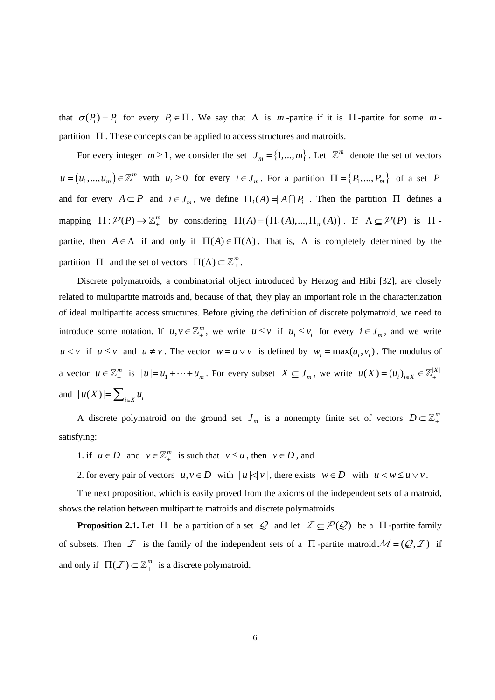that  $\sigma(P_i) = P_i$  for every  $P_i \in \Pi$ . We say that  $\Lambda$  is *m* -partite if it is  $\Pi$  -partite for some *m* partition  $\Pi$ . These concepts can be applied to access structures and matroids.

For every integer  $m \ge 1$ , we consider the set  $J_m = \{1, ..., m\}$ . Let  $\mathbb{Z}_+^m$  denote the set of vectors  $u = (u_1, ..., u_m) \in \mathbb{Z}^m$  with  $u_i \ge 0$  for every  $i \in J_m$ . For a partition  $\Pi = \{P_1, ..., P_m\}$  of a set P and for every  $A \subseteq P$  and  $i \in J_m$ , we define  $\Pi_i(A) = |A \cap P_i|$ . Then the partition  $\Pi$  defines a mapping  $\Pi : \mathcal{P}(P) \to \mathbb{Z}_+^m$  by considering  $\Pi(A) = (\Pi_1(A), ..., \Pi_m(A))$ . If  $\Lambda \subseteq \mathcal{P}(P)$  is  $\Pi$ . partite, then  $A \in \Lambda$  if and only if  $\Pi(A) \in \Pi(\Lambda)$ . That is,  $\Lambda$  is completely determined by the partition  $\Pi$  and the set of vectors  $\Pi(\Lambda) \subset \mathbb{Z}_+^m$ .

Discrete polymatroids, a combinatorial object introduced by Herzog and Hibi [32], are closely related to multipartite matroids and, because of that, they play an important role in the characterization of ideal multipartite access structures. Before giving the definition of discrete polymatroid, we need to introduce some notation. If  $u, v \in \mathbb{Z}_+^m$ , we write  $u \leq v$  if  $u_i \leq v_i$  for every  $i \in J_m$ , and we write  $u < v$  if  $u \le v$  and  $u \ne v$ . The vector  $w = u \vee v$  is defined by  $w_i = \max(u_i, v_i)$ . The modulus of a vector  $u \in \mathbb{Z}_+^m$  is  $|u| = u_1 + \cdots + u_m$ . For every subset  $X \subseteq J_m$ , we write  $u(X) = (u_i)_{i \in X} \in \mathbb{Z}_+^{|X|}$ and  $|u(X)| = \sum_{i \in X} u_i$ 

A discrete polymatroid on the ground set  $J_m$  is a nonempty finite set of vectors  $D \subset \mathbb{Z}_+^m$ satisfying:

1. if  $u \in D$  and  $v \in \mathbb{Z}_+^m$  is such that  $v \le u$ , then  $v \in D$ , and

2. for every pair of vectors  $u, v \in D$  with  $|u| < |v|$ , there exists  $w \in D$  with  $u < w \le u \vee v$ .

The next proposition, which is easily proved from the axioms of the independent sets of a matroid, shows the relation between multipartite matroids and discrete polymatroids.

**Proposition 2.1.** Let  $\Pi$  be a partition of a set  $\mathcal{Q}$  and let  $\mathcal{I} \subseteq \mathcal{P}(\mathcal{Q})$  be a  $\Pi$ -partite family of subsets. Then  $\mathcal I$  is the family of the independent sets of a  $\Pi$ -partite matroid  $\mathcal M = (\mathcal Q, \mathcal I)$  if and only if  $\Pi(\mathcal{I}) \subset \mathbb{Z}_+^m$  is a discrete polymatroid.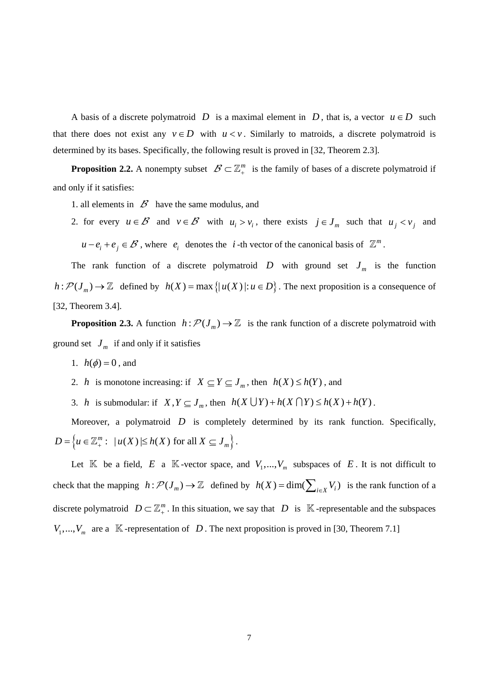A basis of a discrete polymatroid D is a maximal element in D, that is, a vector  $u \in D$  such that there does not exist any  $v \in D$  with  $u < v$ . Similarly to matroids, a discrete polymatroid is determined by its bases. Specifically, the following result is proved in [32, Theorem 2.3].

**Proposition 2.2.** A nonempty subset  $\mathcal{B} \subset \mathbb{Z}_+^m$  is the family of bases of a discrete polymatroid if and only if it satisfies:

- 1. all elements in  $\mathcal B$  have the same modulus, and
- 2. for every  $u \in \mathcal{B}$  and  $v \in \mathcal{B}$  with  $u_i > v_i$ , there exists  $j \in J_m$  such that  $u_j < v_j$  and  $u - e_i + e_j \in \mathcal{B}$ , where  $e_i$  denotes the *i*-th vector of the canonical basis of  $\mathbb{Z}^m$ .

The rank function of a discrete polymatroid  $D$  with ground set  $J_m$  is the function  $h: \mathcal{P}(J_m) \to \mathbb{Z}$  defined by  $h(X) = \max\{|u(X)|: u \in D\}$ . The next proposition is a consequence of [32, Theorem 3.4].

**Proposition 2.3.** A function  $h: \mathcal{P}(J_m) \to \mathbb{Z}$  is the rank function of a discrete polymatroid with ground set  $J_m$  if and only if it satisfies

1.  $h(\phi) = 0$ , and

2. *h* is monotone increasing: if  $X \subseteq Y \subseteq J_m$ , then  $h(X) \le h(Y)$ , and

3. *h* is submodular: if  $X, Y \subseteq J_m$ , then  $h(X \cup Y) + h(X \cap Y) \le h(X) + h(Y)$ .

Moreover, a polymatroid *D* is completely determined by its rank function. Specifically,  $D = \left\{ u \in \mathbb{Z}_+^m : \ \vert u(X) \vert \leq h(X) \text{ for all } X \subseteq J_m \right\}.$ 

Let  $\mathbb K$  be a field,  $E$  a  $\mathbb K$ -vector space, and  $V_1, ..., V_m$  subspaces of  $E$ . It is not difficult to check that the mapping  $h: \mathcal{P}(J_m) \to \mathbb{Z}$  defined by  $h(X) = \dim(\sum_{i \in X} V_i)$  is the rank function of a discrete polymatroid  $D \subset \mathbb{Z}_+^m$ . In this situation, we say that  $D$  is  $\mathbb{K}$ -representable and the subspaces  $V_1, \ldots, V_m$  are a  $\mathbb K$ -representation of  $D$ . The next proposition is proved in [30, Theorem 7.1]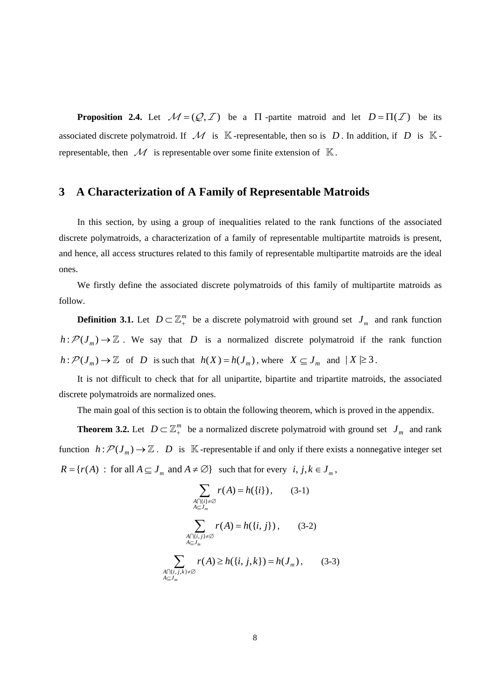**Proposition 2.4.** Let  $M = (Q, \mathcal{I})$  be a  $\Pi$ -partite matroid and let  $D = \Pi(\mathcal{I})$  be its associated discrete polymatroid. If  $\mathcal M$  is K-representable, then so is  $D$ . In addition, if  $D$  is Krepresentable, then  $\mathcal M$  is representable over some finite extension of  $\mathbb K$ .

### **3 A Characterization of A Family of Representable Matroids**

In this section, by using a group of inequalities related to the rank functions of the associated discrete polymatroids, a characterization of a family of representable multipartite matroids is present, and hence, all access structures related to this family of representable multipartite matroids are the ideal ones.

We firstly define the associated discrete polymatroids of this family of multipartite matroids as follow.

**Definition 3.1.** Let  $D \subset \mathbb{Z}_{+}^{m}$  be a discrete polymatroid with ground set  $J_m$  and rank function  $h: \mathcal{P}(J_m) \to \mathbb{Z}$ . We say that D is a normalized discrete polymatroid if the rank function  $h: \mathcal{P}(J_m) \to \mathbb{Z}$  of *D* is such that  $h(X) = h(J_m)$ , where  $X \subseteq J_m$  and  $|X| \geq 3$ .

It is not difficult to check that for all unipartite, bipartite and tripartite matroids, the associated discrete polymatroids are normalized ones.

The main goal of this section is to obtain the following theorem, which is proved in the appendix.

**Theorem 3.2.** Let  $D \subset \mathbb{Z}_+^m$  be a normalized discrete polymatroid with ground set  $J_m$  and rank function  $h: \mathcal{P}(J_m) \to \mathbb{Z}$ . *D* is K-representable if and only if there exists a nonnegative integer set  $R = \{ r(A) : \text{for all } A \subseteq J_m \text{ and } A \neq \emptyset \}$  such that for every  $i, j, k \in J_m$ ,

$$
\sum_{\substack{A \cap \{i\} \neq \emptyset \\ A \subseteq J_m}} r(A) = h(\{i\}), \qquad (3-1)
$$
\n
$$
\sum_{\substack{A \cap \{i,j\} \neq \emptyset \\ A \subseteq J_m}} r(A) = h(\{i,j\}), \qquad (3-2)
$$
\n
$$
\sum_{\substack{A \cap \{i,j,k\} \neq \emptyset \\ A \subseteq J_m}} r(A) \ge h(\{i,j,k\}) = h(J_m), \qquad (3-3)
$$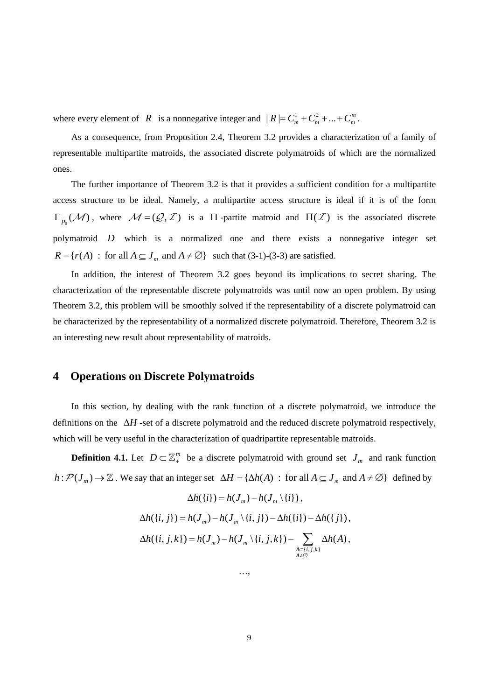where every element of *R* is a nonnegative integer and  $|R| = C_m^1 + C_m^2 + ... + C_m^m$ .

As a consequence, from Proposition 2.4, Theorem 3.2 provides a characterization of a family of representable multipartite matroids, the associated discrete polymatroids of which are the normalized ones.

The further importance of Theorem 3.2 is that it provides a sufficient condition for a multipartite access structure to be ideal. Namely, a multipartite access structure is ideal if it is of the form  $\Gamma_{p_0}(\mathcal{M})$ , where  $\mathcal{M} = (\mathcal{Q}, \mathcal{I})$  is a  $\Pi$ -partite matroid and  $\Pi(\mathcal{I})$  is the associated discrete polymatroid  $D$  which is a normalized one and there exists a nonnegative integer set  $R = \{r(A) : \text{ for all } A \subseteq J_m \text{ and } A \neq \emptyset\}$  such that (3-1)-(3-3) are satisfied.

In addition, the interest of Theorem 3.2 goes beyond its implications to secret sharing. The characterization of the representable discrete polymatroids was until now an open problem. By using Theorem 3.2, this problem will be smoothly solved if the representability of a discrete polymatroid can be characterized by the representability of a normalized discrete polymatroid. Therefore, Theorem 3.2 is an interesting new result about representability of matroids.

#### **4 Operations on Discrete Polymatroids**

In this section, by dealing with the rank function of a discrete polymatroid, we introduce the definitions on the  $\Delta H$ -set of a discrete polymatroid and the reduced discrete polymatroid respectively, which will be very useful in the characterization of quadripartite representable matroids.

**Definition 4.1.** Let  $D \subset \mathbb{Z}_{+}^{m}$  be a discrete polymatroid with ground set  $J_m$  and rank function  $h: \mathcal{P}(J_m) \to \mathbb{Z}$ . We say that an integer set  $\Delta H = {\Delta h(A) : \text{for all } A \subseteq J_m \text{ and } A \neq \emptyset}$  defined by

$$
\Delta h(\{i\}) = h(J_m) - h(J_m \setminus \{i\}),
$$
  

$$
\Delta h(\{i, j\}) = h(J_m) - h(J_m \setminus \{i, j\}) - \Delta h(\{i\}) - \Delta h(\{j\}),
$$
  

$$
\Delta h(\{i, j, k\}) = h(J_m) - h(J_m \setminus \{i, j, k\}) - \sum_{\substack{A \subset \{i, j, k\} \\ A \neq \emptyset}} \Delta h(A),
$$

…,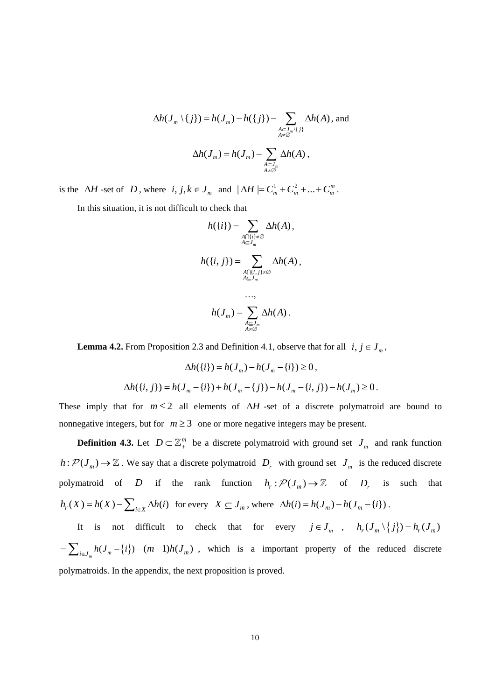$$
\Delta h(J_m \setminus \{j\}) = h(J_m) - h(\{j\}) - \sum_{\substack{A \subset J_m \setminus \{j\} \\ A \neq \emptyset}} \Delta h(A), \text{ and}
$$

$$
\Delta h(J_m) = h(J_m) - \sum_{\substack{A \subset J_m \\ A \neq \emptyset}} \Delta h(A),
$$

is the  $\Delta H$ -set of  $D$ , where  $i, j, k \in J_m$  and  $|\Delta H| = C_m^1 + C_m^2 + ... + C_m^m$ .

In this situation, it is not difficult to check that

$$
h({i}) = \sum_{\substack{A \cap {i} \ni \neq \emptyset \\ A \subseteq J_m}} \Delta h(A),
$$

$$
h({i, j}) = \sum_{\substack{A \cap {i, j} \neq \emptyset \\ A \subseteq J_m}} \Delta h(A),
$$

$$
\dots,
$$

$$
h(J_m) = \sum \Delta h(A).
$$

**Lemma 4.2.** From Proposition 2.3 and Definition 4.1, observe that for all  $i, j \in J_m$ ,

$$
\Delta h(\{i\}) = h(J_m) - h(J_m - \{i\}) \ge 0,
$$
  

$$
\Delta h(\{i, j\}) = h(J_m - \{i\}) + h(J_m - \{j\}) - h(J_m - \{i, j\}) - h(J_m) \ge 0.
$$

*A*⊆J<sub>m</sub><br>A≠∅

These imply that for  $m \leq 2$  all elements of  $\Delta H$ -set of a discrete polymatroid are bound to nonnegative integers, but for  $m \geq 3$  one or more negative integers may be present.

**Definition 4.3.** Let  $D \subset \mathbb{Z}_{+}^{m}$  be a discrete polymatroid with ground set  $J_m$  and rank function  $h: \mathcal{P}(J_m) \to \mathbb{Z}$ . We say that a discrete polymatroid  $D_r$  with ground set  $J_m$  is the reduced discrete polymatroid of D if the rank function  $h_r : \mathcal{P}(J_m) \to \mathbb{Z}$  of  $D_r$  is such that  $f(x) = h(X) - \sum_{i \in X} \Delta h(i)$  for every  $X \subseteq J_m$ , where  $\Delta h(i) = h(J_m) - h(J_m - \{i\})$ .

It is not difficult to check that for every  $j \in J_m$ ,  $h_r(J_m \setminus \{j\}) = h_r(J_m)$  $=\sum_{i\in J_m} h(J_m - \{i\}) - (m-1)h(J_m)$ , which is a important property of the reduced discrete polymatroids. In the appendix, the next proposition is proved.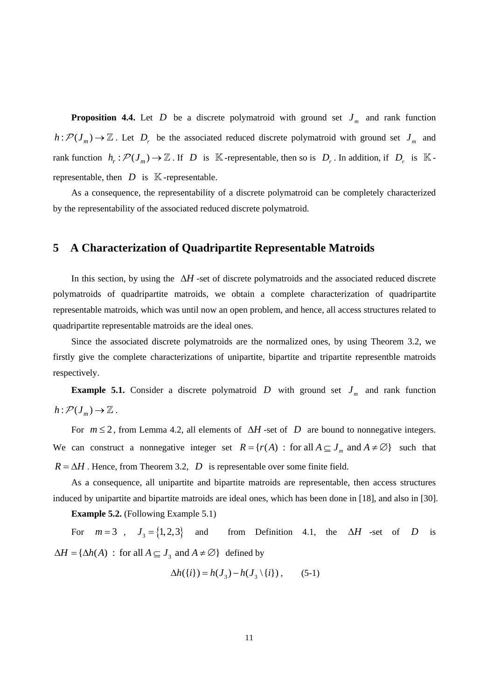**Proposition 4.4.** Let D be a discrete polymatroid with ground set  $J_m$  and rank function  $h: \mathcal{P}(J_m) \to \mathbb{Z}$ . Let  $D_r$  be the associated reduced discrete polymatroid with ground set  $J_m$  and rank function  $h_r : \mathcal{P}(J_m) \to \mathbb{Z}$ . If D is K-representable, then so is  $D_r$ . In addition, if  $D_r$  is Krepresentable, then  $D$  is  $K$ -representable.

As a consequence, the representability of a discrete polymatroid can be completely characterized by the representability of the associated reduced discrete polymatroid.

### **5 A Characterization of Quadripartite Representable Matroids**

In this section, by using the  $\Delta H$ -set of discrete polymatroids and the associated reduced discrete polymatroids of quadripartite matroids, we obtain a complete characterization of quadripartite representable matroids, which was until now an open problem, and hence, all access structures related to quadripartite representable matroids are the ideal ones.

Since the associated discrete polymatroids are the normalized ones, by using Theorem 3.2, we firstly give the complete characterizations of unipartite, bipartite and tripartite representble matroids respectively.

**Example 5.1.** Consider a discrete polymatroid D with ground set  $J_m$  and rank function  $h: \mathcal{P}(J_m) \to \mathbb{Z}$ .

For  $m \leq 2$ , from Lemma 4.2, all elements of  $\Delta H$ -set of D are bound to nonnegative integers. We can construct a nonnegative integer set  $R = \{r(A) : \text{for all } A \subseteq J_m \text{ and } A \neq \emptyset\}$  such that  $R = \Delta H$ . Hence, from Theorem 3.2, *D* is representable over some finite field.

As a consequence, all unipartite and bipartite matroids are representable, then access structures induced by unipartite and bipartite matroids are ideal ones, which has been done in [18], and also in [30].

**Example 5.2.** (Following Example 5.1)

For  $m = 3$ ,  $J_3 = \{1, 2, 3\}$  and from Definition 4.1, the  $\Delta H$  -set of D is  $\Delta H = {\Delta h(A) : \text{ for all } A \subseteq J_3 \text{ and } A \neq \emptyset}$  defined by

$$
\Delta h(\lbrace i \rbrace) = h(J_3) - h(J_3 \setminus \lbrace i \rbrace), \qquad (5-1)
$$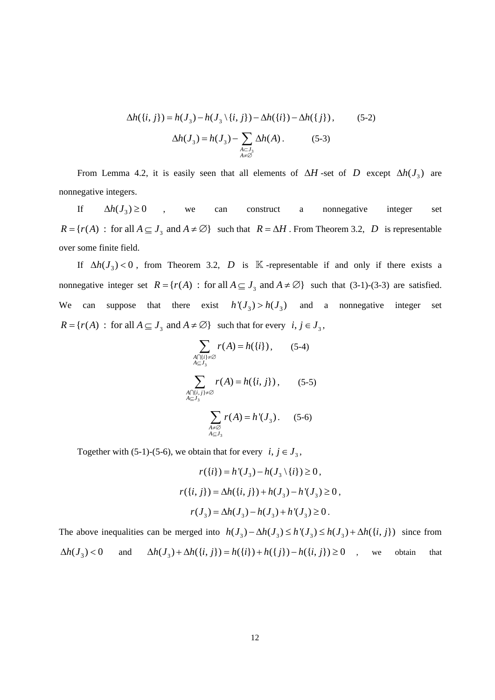$$
\Delta h(\lbrace i, j \rbrace) = h(J_3) - h(J_3 \setminus \lbrace i, j \rbrace) - \Delta h(\lbrace i \rbrace) - \Delta h(\lbrace j \rbrace),
$$
\n
$$
\Delta h(J_3) = h(J_3) - \sum_{\substack{A \subset J_3 \\ A \neq \emptyset}} \Delta h(A). \tag{5-3}
$$

From Lemma 4.2, it is easily seen that all elements of  $\Delta H$ -set of D except  $\Delta h(J_3)$  are nonnegative integers.

If  $\Delta h(J_3) \ge 0$  , we can construct a nonnegative integer set  $R = \{r(A) : \text{ for all } A \subseteq J_3 \text{ and } A \neq \emptyset\}$  such that  $R = \Delta H$ . From Theorem 3.2, D is representable over some finite field.

If  $\Delta h(J_3) < 0$ , from Theorem 3.2, D is K -representable if and only if there exists a nonnegative integer set  $R = \{r(A) : \text{for all } A \subseteq J_3 \text{ and } A \neq \emptyset\}$  such that (3-1)-(3-3) are satisfied. We can suppose that there exist  $h'(J_3) > h(J_3)$  and a nonnegative integer set  $R = \{r(A) : \text{ for all } A \subseteq J_3 \text{ and } A \neq \emptyset\} \text{ such that for every } i, j \in J_3,$ 

$$
\sum_{\substack{A \cap \{i\} \neq \emptyset \\ A \subseteq J_3}} r(A) = h(\{i\}), \qquad (5-4)
$$
\n
$$
\sum_{\substack{A \cap \{i,j\} \neq \emptyset \\ A \subseteq J_3}} r(A) = h(\{i,j\}), \qquad (5-5)
$$
\n
$$
\sum_{\substack{A \neq \emptyset \\ A \subseteq J_3}} r(A) = h'(J_3). \qquad (5-6)
$$

Together with (5-1)-(5-6), we obtain that for every  $i, j \in J_3$ ,

$$
r({i}) = h'(J_3) - h(J_3 \setminus {i}) \ge 0,
$$
  

$$
r({i, j}) = \Delta h({i, j}) + h(J_3) - h'(J_3) \ge 0,
$$
  

$$
r(J_3) = \Delta h(J_3) - h(J_3) + h'(J_3) \ge 0.
$$

The above inequalities can be merged into  $h(J_3) - \Delta h(J_3) \le h'(J_3) \le h(J_3) + \Delta h(\lbrace i, j \rbrace)$  since from  $\Delta h(J_3) < 0$  and  $\Delta h(J_3) + \Delta h(\lbrace i, j \rbrace) = h(\lbrace i \rbrace) + h(\lbrace j \rbrace) - h(\lbrace i, j \rbrace) \ge 0$ , we obtain that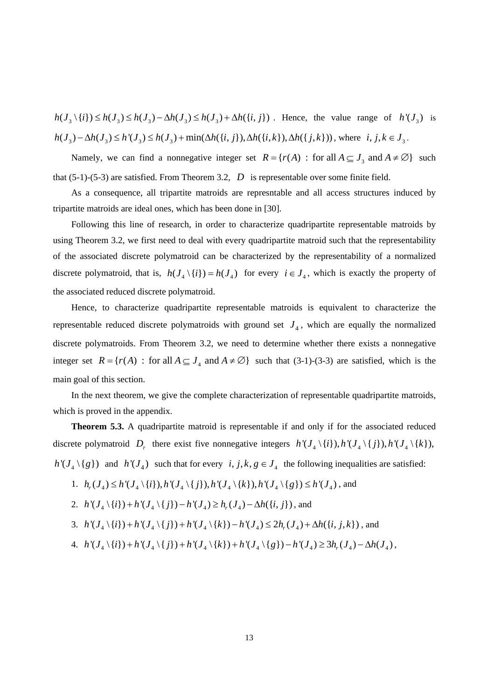$h(J_3 \setminus \{i\}) \le h(J_3) \le h(J_3) - \Delta h(J_3) \le h(J_3) + \Delta h(\{i, j\})$ . Hence, the value range of  $h'(J_3)$  is  $h(J_3) - \Delta h(J_3) \le h'(J_3) \le h(J_3) + \min(\Delta h(\{i, j\}), \Delta h(\{i, k\}), \Delta h(\{j, k\}))$ , where  $i, j, k \in J_3$ .

Namely, we can find a nonnegative integer set  $R = \{r(A) : \text{ for all } A \subseteq J_3 \text{ and } A \neq \emptyset\}$  such that (5-1)-(5-3) are satisfied. From Theorem 3.2, *D* is representable over some finite field.

As a consequence, all tripartite matroids are represntable and all access structures induced by tripartite matroids are ideal ones, which has been done in [30].

discrete polymatroid, that is,  $h(J_4 \setminus \{i\}) = h(J_4)$  for every  $i \in J_4$ , which is exactly the property of Following this line of research, in order to characterize quadripartite representable matroids by using Theorem 3.2, we first need to deal with every quadripartite matroid such that the representability of the associated discrete polymatroid can be characterized by the representability of a normalized the associated reduced discrete polymatroid.

Hence, to characterize quadripartite representable matroids is equivalent to characterize the representable reduced discrete polymatroids with ground set  $J_4$ , which are equally the normalized discrete polymatroids. From Theorem 3.2, we need to determine whether there exists a nonnegative integer set  $R = \{r(A) : \text{for all } A \subseteq J_4 \text{ and } A \neq \emptyset\}$  such that (3-1)-(3-3) are satisfied, which is the main goal of this section.

In the next theorem, we give the complete characterization of representable quadripartite matroids, which is proved in the appendix.

**Theorem 5.3.** A quadripartite matroid is representable if and only if for the associated reduced discrete polymatroid  $D_r$  there exist five nonnegative integers  $h'(J_4 \setminus \{i\}), h'(J_4 \setminus \{i\}), h'(J_4 \setminus \{k\}),$  $h'(J_4 \setminus \{g\})$  and  $h'(J_4)$  such that for every  $i, j, k, g \in J_4$  the following inequalities are satisfied:

1.  $h_r(J_4) \le h'(J_4 \setminus \{i\}), h'(J_4 \setminus \{j\}), h'(J_4 \setminus \{k\}), h'(J_4 \setminus \{g\}) \le h'(J_4)$ , and

2. 
$$
h'(J_4 \setminus \{i\}) + h'(J_4 \setminus \{j\}) - h'(J_4) \ge h_r(J_4) - \Delta h(\{i, j\})
$$
, and

3. 
$$
h'(J_4 \setminus \{i\}) + h'(J_4 \setminus \{j\}) + h'(J_4 \setminus \{k\}) - h'(J_4) \leq 2h_r(J_4) + \Delta h(\{i, j, k\})
$$
, and

4. 
$$
h'(J_4 \setminus \{i\}) + h'(J_4 \setminus \{j\}) + h'(J_4 \setminus \{k\}) + h'(J_4 \setminus \{g\}) - h'(J_4) \ge 3h_r(J_4) - \Delta h(J_4)
$$
,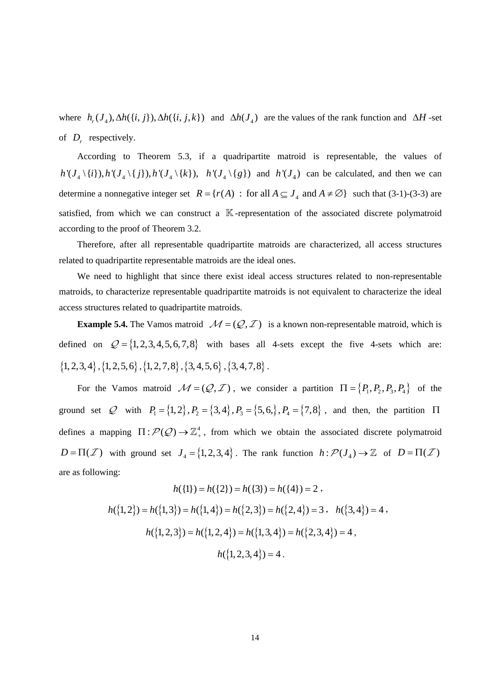where  $h_r(J_4)$ ,  $\Delta h({i, j}, \Delta h({i, j}, k)$  and  $\Delta h(J_4)$  are the values of the rank function and  $\Delta H$ -set of  $D_r$  respectively.

According to Theorem 5.3, if a quadripartite matroid is representable, the values of  $h'(J_4 \setminus \{i\}), h'(J_4 \setminus \{j\}), h'(J_4 \setminus \{k\}), \quad h'(J_4 \setminus \{g\})$  and  $h'(J_4)$  can be calculated, and then we can determine a nonnegative integer set  $R = \{r(A) : \text{ for all } A \subseteq J_4 \text{ and } A \neq \emptyset\}$  such that (3-1)-(3-3) are satisfied, from which we can construct a  $K$ -representation of the associated discrete polymatroid according to the proof of Theorem 3.2.

Therefore, after all representable quadripartite matroids are characterized, all access structures related to quadripartite representable matroids are the ideal ones.

We need to highlight that since there exist ideal access structures related to non-representable matroids, to characterize representable quadripartite matroids is not equivalent to characterize the ideal access structures related to quadripartite matroids.

**Example 5.4.** The Vamos matroid  $\mathcal{M} = (Q, \mathcal{I})$  is a known non-representable matroid, which is defined on  $Q = \{1, 2, 3, 4, 5, 6, 7, 8\}$  with bases all 4-sets except the five 4-sets which are:  $\{1, 2, 3, 4\}$ ,  $\{1, 2, 5, 6\}$ ,  $\{1, 2, 7, 8\}$ ,  $\{3, 4, 5, 6\}$ ,  $\{3, 4, 7, 8\}$ .

For the Vamos matroid  $M = (Q, Z)$ , we consider a partition  $\Pi = \{P_1, P_2, P_3, P_4\}$  of the ground set Q with  $P_1 = \{1, 2\}$ ,  $P_2 = \{3, 4\}$ ,  $P_3 = \{5, 6\}$ ,  $P_4 = \{7, 8\}$ , and then, the partition  $\Pi$ defines a mapping  $\Pi : \mathcal{P}(\mathcal{Q}) \to \mathbb{Z}_+^4$ , from which we obtain the associated discrete polymatroid  $D = \Pi(\mathcal{I})$  with ground set  $J_4 = \{1, 2, 3, 4\}$ . The rank function  $h : \mathcal{P}(J_4) \to \mathbb{Z}$  of  $D = \Pi(\mathcal{I})$ are as following:

$$
h({1}) = h({2}) = h({3}) = h({4}) = 2,
$$
  
\n
$$
h({1,2}) = h({1,3}) = h({1,4}) = h({2,3}) = h({2,4}) = 3, \quad h({3,4}) = 4,
$$
  
\n
$$
h({1,2,3}) = h({1,2,4}) = h({1,3,4}) = h({2,3,4}) = 4,
$$
  
\n
$$
h({1,2,3,4}) = 4.
$$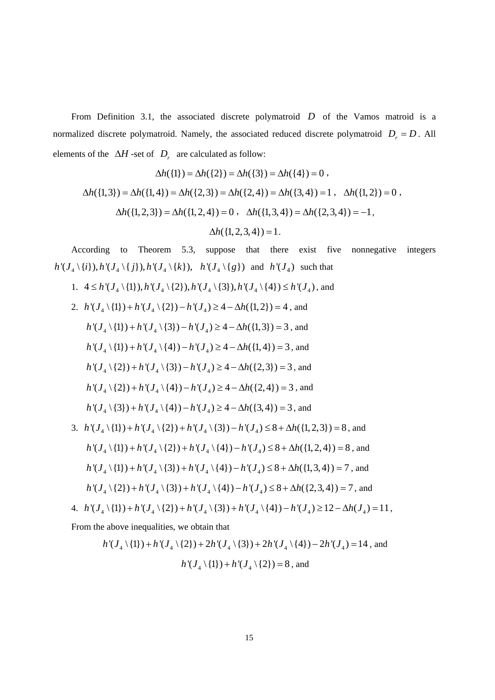From Definition 3.1, the associated discrete polymatroid  $D$  of the Vamos matroid is a normalized discrete polymatroid. Namely, the associated reduced discrete polymatroid  $D_r = D$ . All elements of the  $\Delta H$  -set of  $D_r$  are calculated as follow:

$$
\Delta h(\{1\}) = \Delta h(\{2\}) = \Delta h(\{3\}) = \Delta h(\{4\}) = 0,
$$
  

$$
\Delta h(\{1,3\}) = \Delta h(\{1,4\}) = \Delta h(\{2,3\}) = \Delta h(\{2,4\}) = \Delta h(\{3,4\}) = 1, \quad \Delta h(\{1,2\}) = 0,
$$
  

$$
\Delta h(\{1,2,3\}) = \Delta h(\{1,2,4\}) = 0, \quad \Delta h(\{1,3,4\}) = \Delta h(\{2,3,4\}) = -1,
$$
  

$$
\Delta h(\{1,2,3,4\}) = 1.
$$

According to Theorem 5.3, suppose that there exist five nonnegative integers  $h'(J_4 \setminus \{i\}), h'(J_4 \setminus \{j\}), h'(J_4 \setminus \{k\}), \quad h'(J_4 \setminus \{g\})$  and  $h'(J_4)$  such that

1.  $4 \le h'(J_4 \setminus \{1\}), h'(J_4 \setminus \{2\}), h'(J_4 \setminus \{3\}), h'(J_4 \setminus \{4\}) \le h'(J_4)$ , and

2. 
$$
h'(J_4 \setminus \{1\}) + h'(J_4 \setminus \{2\}) - h'(J_4) \ge 4 - \Delta h(\{1, 2\}) = 4
$$
, and  
\n $h'(J_4 \setminus \{1\}) + h'(J_4 \setminus \{3\}) - h'(J_4) \ge 4 - \Delta h(\{1, 3\}) = 3$ , and  
\n $h'(J_4 \setminus \{1\}) + h'(J_4 \setminus \{4\}) - h'(J_4) \ge 4 - \Delta h(\{1, 4\}) = 3$ , and  
\n $h'(J_4 \setminus \{2\}) + h'(J_4 \setminus \{3\}) - h'(J_4) \ge 4 - \Delta h(\{2, 3\}) = 3$ , and  
\n $h'(J_4 \setminus \{2\}) + h'(J_4 \setminus \{4\}) - h'(J_4) \ge 4 - \Delta h(\{2, 4\}) = 3$ , and  
\n $h'(J_4 \setminus \{3\}) + h'(J_4 \setminus \{4\}) - h'(J_4) \ge 4 - \Delta h(\{3, 4\}) = 3$ , and

3. 
$$
h'(J_4 \setminus \{1\}) + h'(J_4 \setminus \{2\}) + h'(J_4 \setminus \{3\}) - h'(J_4) \le 8 + \Delta h(\{1, 2, 3\}) = 8
$$
, and  
\n $h'(J_4 \setminus \{1\}) + h'(J_4 \setminus \{2\}) + h'(J_4 \setminus \{4\}) - h'(J_4) \le 8 + \Delta h(\{1, 2, 4\}) = 8$ , and  
\n $h'(J_4 \setminus \{1\}) + h'(J_4 \setminus \{3\}) + h'(J_4 \setminus \{4\}) - h'(J_4) \le 8 + \Delta h(\{1, 3, 4\}) = 7$ , and  
\n $h'(J_4 \setminus \{2\}) + h'(J_4 \setminus \{3\}) + h'(J_4 \setminus \{4\}) - h'(J_4) \le 8 + \Delta h(\{2, 3, 4\}) = 7$ , and

4. 
$$
h'(J_4 \setminus \{1\}) + h'(J_4 \setminus \{2\}) + h'(J_4 \setminus \{3\}) + h'(J_4 \setminus \{4\}) - h'(J_4) \ge 12 - \Delta h(J_4) = 11
$$
,

From the above inequalities, we obtain that

$$
h'(J_4 \setminus \{1\}) + h'(J_4 \setminus \{2\}) + 2h'(J_4 \setminus \{3\}) + 2h'(J_4 \setminus \{4\}) - 2h'(J_4) = 14
$$
, and  

$$
h'(J_4 \setminus \{1\}) + h'(J_4 \setminus \{2\}) = 8
$$
, and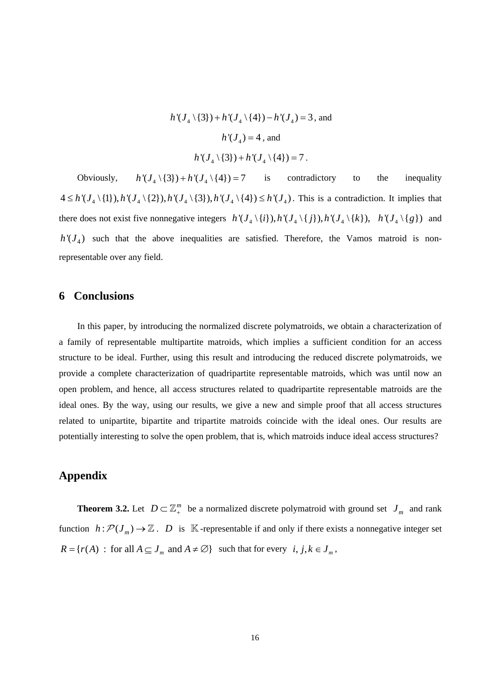$h'(J_4 \setminus \{3\}) + h'(J_4 \setminus \{4\}) - h'(J_4) = 3$ , and  $h'(J_4) = 4$ , and  $h'(J_{4} \setminus \{3\}) + h'(J_{4} \setminus \{4\}) = 7$ .

Obviously,  $h'(J_4 \setminus \{3\}) + h'(J_4 \setminus \{4\}) = 7$  is contradictory to the inequality  $4 \leq h'(J_4 \setminus \{1\}), h'(J_4 \setminus \{2\}), h'(J_4 \setminus \{3\}), h'(J_4 \setminus \{4\}) \leq h'(J_4)$ . This is a contradiction. It implies that there does not exist five nonnegative integers  $h'(J_4 \setminus \{i\}), h'(J_4 \setminus \{i\}), h'(J_4 \setminus \{k\}), \ h'(J_4 \setminus \{g\})$  and  $h'(J_4)$  such that the above inequalities are satisfied. Therefore, the Vamos matroid is nonrepresentable over any field.

## **6 Conclusions**

In this paper, by introducing the normalized discrete polymatroids, we obtain a characterization of a family of representable multipartite matroids, which implies a sufficient condition for an access structure to be ideal. Further, using this result and introducing the reduced discrete polymatroids, we provide a complete characterization of quadripartite representable matroids, which was until now an open problem, and hence, all access structures related to quadripartite representable matroids are the ideal ones. By the way, using our results, we give a new and simple proof that all access structures related to unipartite, bipartite and tripartite matroids coincide with the ideal ones. Our results are potentially interesting to solve the open problem, that is, which matroids induce ideal access structures?

# **Appendix**

 $R = \{r(A) : \text{for all } A \subseteq J_m \text{ and } A \neq \emptyset\} \text{ such that for every } i, j, k \in J_m,$ **Theorem 3.2.** Let  $D \subset \mathbb{Z}_+^m$  be a normalized discrete polymatroid with ground set  $J_m$  and rank function  $h: \mathcal{P}(J_m) \to \mathbb{Z}$ . *D* is K-representable if and only if there exists a nonnegative integer set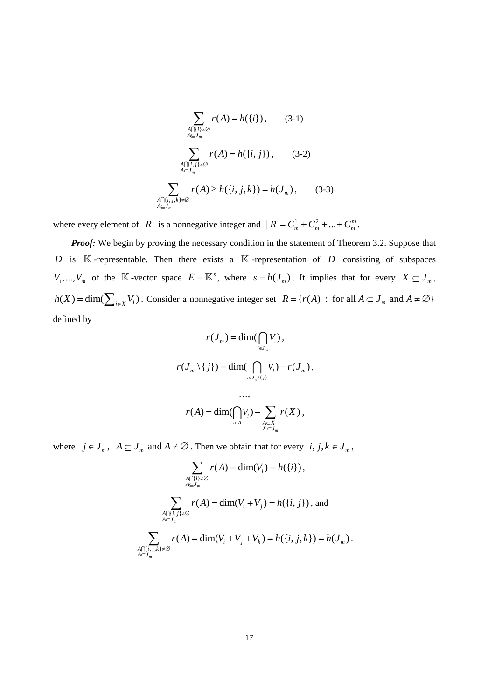$$
\sum_{\substack{A \cap \{i\} \neq \emptyset \\ A \subseteq J_m}} r(A) = h(\{i\}), \qquad (3-1)
$$
\n
$$
\sum_{\substack{A \cap \{i,j\} \neq \emptyset \\ A \subseteq J_m}} r(A) = h(\{i,j\}), \qquad (3-2)
$$
\n
$$
\sum_{\substack{A \cap \{i,j,k\} \neq \emptyset \\ A \subseteq J_m}} r(A) \ge h(\{i,j,k\}) = h(J_m), \qquad (3-3)
$$

where every element of *R* is a nonnegative integer and  $|R| = C_m^1 + C_m^2 + ... + C_m^m$ .

**Proof:** We begin by proving the necessary condition in the statement of Theorem 3.2. Suppose that D is  $K$ -representable. Then there exists a  $K$ -representation of D consisting of subspaces  $V_1, \ldots, V_m$  of the K-vector space  $E = \mathbb{K}^s$ , where  $s = h(J_m)$ . It implies that for every  $X \subseteq J_m$ ,  $h(X) = \dim(\sum_{i \in X} V_i)$ . Consider a nonnegative integer set  $R = \{r(A) : \text{ for all } A \subseteq J_m \text{ and } A \neq \emptyset\}$ defined by

$$
r(J_m) = \dim(\bigcap_{i \in J_m} V_i),
$$
  

$$
r(J_m \setminus \{j\}) = \dim(\bigcap_{i \in J_m \setminus \{j\}} V_i) - r(J_m),
$$
  

$$
\dots,
$$

$$
r(A) = \dim(\bigcap_{i \in A} V_i) - \sum_{\substack{A \subset X \\ X \subseteq J_m}} r(X),
$$

where  $j \in J_m$ ,  $A \subseteq J_m$  and  $A \neq \emptyset$ . Then we obtain that for every  $i, j, k \in J_m$ ,

$$
\sum_{\substack{A \cap \{i\} \neq \emptyset \\ A \subseteq J_m}} r(A) = \dim(V_i) = h(\{i\}),
$$
\n
$$
\sum_{\substack{A \cap \{i,j\} \neq \emptyset \\ A \subseteq J_m}} r(A) = \dim(V_i + V_j) = h(\{i,j\}),
$$
 and\n
$$
\sum_{\substack{A \cap \{i,j,k\} \neq \emptyset \\ A \subseteq J_m}} r(A) = \dim(V_i + V_j + V_k) = h(\{i,j,k\}) = h(J_m)
$$

.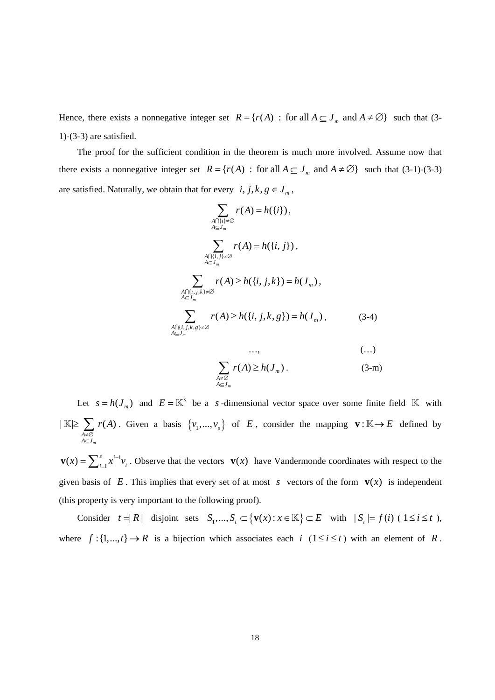Hence, there exists a nonnegative integer set  $R = \{r(A) : \text{for all } A \subseteq J_m \text{ and } A \neq \emptyset\}$  such that (3-1)-(3-3) are satisfied.

The proof for the sufficient condition in the theorem is much more involved. Assume now that there exists a nonnegative integer set  $R = \{ r(A) : \text{ for all } A \subseteq J_m \text{ and } A \neq \emptyset \}$  such that (3-1)-(3-3) are satisfied. Naturally, we obtain that for every  $i, j, k, g \in J_m$ ,

$$
\sum_{\substack{A \cap \{i\}, \neq \emptyset \\ A \subseteq J_m}} r(A) = h(\{i\}),
$$
\n
$$
\sum_{\substack{A \cap \{i,j\} \neq \emptyset \\ A \subseteq J_m}} r(A) = h(\{i,j\}),
$$
\n
$$
\sum_{\substack{A \cap \{i,j,k\} \neq \emptyset \\ A \subseteq J_m}} r(A) \ge h(\{i,j,k\}) = h(J_m),
$$
\n
$$
\sum_{\substack{A \cap \{i,j,k,s\} \neq \emptyset \\ A \subseteq J_m}} r(A) \ge h(\{i,j,k,g\}) = h(J_m),
$$
\n
$$
\dots,
$$
\n
$$
\sum_{\substack{A \cap \{i,j,k,g\} \neq \emptyset \\ A \subseteq J_m}} (A) \ge h(\{i,j,k,g\}) = h(J_m),
$$
\n
$$
\dots,
$$
\n
$$
\dots,
$$
\n
$$
\dots,
$$
\n
$$
\dots,
$$
\n
$$
\dots,
$$
\n
$$
\dots
$$

$$
\sum_{\substack{A \neq \emptyset \\ A \subseteq J_m}} r(A) \ge h(J_m) \tag{3-m}
$$

Let  $s = h(J_m)$  and  $E = \mathbb{K}^s$  be a *s*-dimensional vector space over some finite field  $\mathbb{K}$  with  $|\mathbb{K}| \geq \sum r(A)$ . Given a basis { *m A≠*⊘<br>*A*⊆J *r A* ≠∅ ⊆  $\mathbb{K} \geq \sum_{i=1}^n r(A)$ . Given a basis  $\{v_1, ..., v_s\}$  of *E*, consider the mapping  $\mathbf{v}: \mathbb{K} \to E$  defined by

 $\mathbf{v}(x) = \sum_{i=1}^{s} x^{i-1} v_i$ . Observe that the vectors  $\mathbf{v}(x)$  have Vandermonde coordinates with respect to the given basis of  $E$ . This implies that every set of at most  $s$  vectors of the form  $\mathbf{v}(x)$  is independent (this property is very important to the following proof).

Consider  $t = |R|$  disjoint sets  $S_1, ..., S_t \subseteq \{ \mathbf{v}(x) : x \in \mathbb{K} \} \subset E$  with  $|S_i| = f(i)$  (  $1 \le i \le t$  ), where  $f: \{1, ..., t\} \to R$  is a bijection which associates each *i*  $(1 \le i \le t)$  with an element of *R*.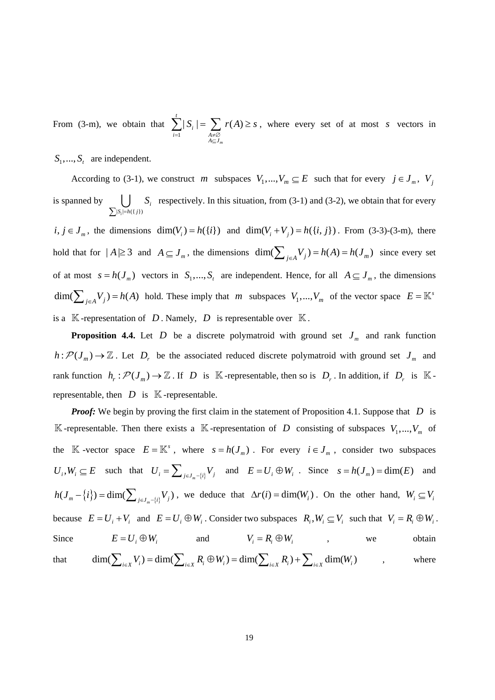From (3-m), we obtain that  $\sum |S_i| = \sum r(A) \geq s$ , where every set of at most s vectors in 1  $|S_i| = \sum r(A)$ *m t i i* =1 *A* ≠ *A* ≠ *A* ⇒ *A* ⇒ *A* ⇒ *A* ⇒ *A* ⇒ *A* ⇒ *A* ⇒ *A* ⇒ *A* ⇒ *A* ⇒ *A* ⇒ *A* ⇒ *A* ⇒ *A* ⇒ *A* ⇒ *A* ⇒ *A* ⇒ *A* ⇒ *A* ⇒ *A* ⇒ *A* ⇒ *A* ⇒ *A* ⇒ *A* ⇒ *A* ⇒ *A* ⇒ *A* ⇒ *A* ⇒ *A* ⇒ *A* ⇒ *A* ⇒ *A* ⇒ *A* ⇒ *A*  $S_i$  =  $\sum$  *r*(*A*  $=1$   $A \neq \emptyset$ <br> $A \subseteq J$  $\sum |S_i| = \sum r(A) \geq s$ , where every set of at most s

 $S_1, \ldots, S_t$  are independent.

According to (3-1), we construct *m* subspaces  $V_1, ..., V_m \subseteq E$  such that for every  $j \in J_m$ ,  $V_j$ is spanned by  $\left| \right|$   $S_i$  respectively. In this situation, from (3-1) and (3-2), we obtain that for every  $i, j \in J_m$ , the dimensions  $\dim(V_i) = h({i})$  and  $\dim(V_i + V_j) = h({i, j})$ . From (3-3)-(3-m), there  $|S_i| = h({j})$ *i*  $S_i = h(\{j\})$ *S*  $\sum_{i} |S_i|$ = ∪ hold that for  $|A| \ge 3$  and  $A \subseteq J_m$ , the dimensions dim( $\sum_{j \in A} V_j = h(A) = h(J_m)$  since every set

of at most  $s = h(J_m)$  vectors in  $S_1, ..., S_t$  are independent. Hence, for all  $A \subseteq J_m$ , the dimensions  $\dim(\sum_{j \in A} V_j) = h(A)$  hold. These imply that *m* subspaces  $V_1, ..., V_m$  of the vector space  $E = \mathbb{K}^3$ is a  $\mathbb{K}$ -representation of *D*. Namely, *D* is representable over  $\mathbb{K}$ .

**Proposition 4.4.** Let D be a discrete polymatroid with ground set  $J_m$  and rank function  $h: \mathcal{P}(J_m) \to \mathbb{Z}$ . Let  $D_r$  be the associated reduced discrete polymatroid with ground set  $J_m$  and rank function  $h_r : \mathcal{P}(J_m) \to \mathbb{Z}$ . If D is K -representable, then so is  $D_r$ . In addition, if  $D_r$  is K representable, then  $D$  is  $K$ -representable.

*Proof:* We begin by proving the first claim in the statement of Proposition 4.1. Suppose that D is  $\mathbb K$ -representable. Then there exists a  $\mathbb K$ -representation of D consisting of subspaces  $V_1, ..., V_m$  of the  $\mathbb{K}$  -vector space  $E = \mathbb{K}^s$ , where  $s = h(J_m)$ . For every  $i \in J_m$ , consider two subspaces  $U_i$ ,  $W_i \subseteq E$  such that  $U_i = \sum_{j \in J_m - \{i\}} V_j$  and  $E = U_i \oplus W_i$ . Since  $s = h(J_m) = \dim(E)$  and  $h(J_m - \{i\}) = \dim(\sum_{j \in J_m - \{i\}} V_j)$ , we deduce that  $\Delta r(i) = \dim(W_i)$ . On the other hand,  $W_i \subseteq V_i$ because  $E = U_i + V_i$  and  $E = U_i \oplus W_i$ . Consider two subspaces  $R_i, W_i \subseteq V_i$  such that  $V_i = R_i \oplus W_i$ . Since  $E = U_i \oplus W_i$  and  $V_i = R_i \oplus W_i$ , we obtain that  $\dim(\sum_{i\in X} V_i) = \dim(\sum_{i\in X} R_i \oplus W_i) = \dim(\sum_{i\in X} R_i) + \sum_{i\in X} \dim(W_i)$  , where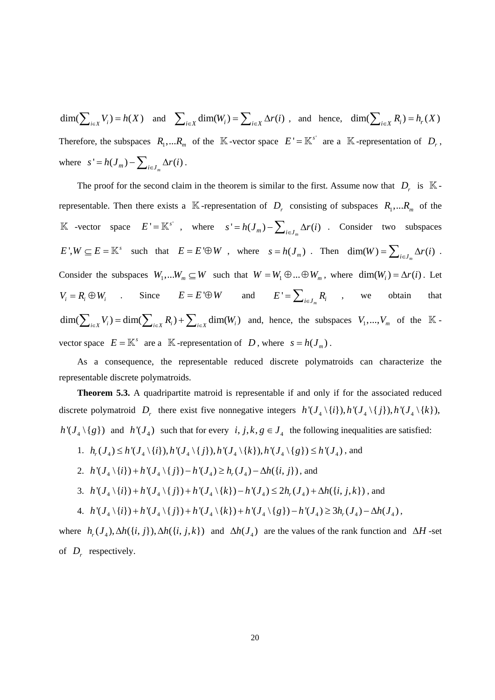$\dim(\sum_{i\in X} V_i) = h(X)$  and  $\sum_{i\in X} \dim(W_i) = \sum_{i\in X} \Delta r(i)$ , and hence,  $\dim(\sum_{i\in X} R_i) = h_r(X)$ Therefore, the subspaces  $R_1,... R_m$  of the K-vector space  $E' = \mathbb{K}^{s'}$  are a K-representation of  $D_r$ , where  $s' = h(J_m) - \sum_{i \in J_m} \Delta r(i)$ .

The proof for the second claim in the theorem is similar to the first. Assume now that  $D_r$  is  $\mathbb{K}$ representable. Then there exists a  $\mathbb{K}$ -representation of  $D_r$  consisting of subspaces  $R_1,...R_m$  of the K -vector space  $E' = \mathbb{K}^{s'}$ , where  $s' = h(J_m) - \sum_{i \in J_m} \Delta r(i)$  . Consider two subspaces  $E^{\dagger}, W \subseteq E = \mathbb{K}^s$  such that  $E = E^{\dagger} \oplus W$ , where  $s = h(J_m)$ . Then  $\dim(W) = \sum_{i \in J_m} \Delta r(i)$ . Consider the subspaces  $W_1,...W_m \subseteq W$  such that  $W = W_1 \oplus ... \oplus W_m$ , where  $\dim(W_i) = \Delta r(i)$ . Let  $V_i = R_i \oplus W_i$  . Since  $E = E' \oplus W$  and  $E' = \sum_{i \in J_m} R_i$  , we obtain that  $\dim(\sum_{i\in X} V_i) = \dim(\sum_{i\in X} R_i) + \sum_{i\in X} \dim(W_i)$  and, hence, the subspaces  $V_1, ..., V_m$  of the  $\mathbb{K}$ vector space  $E = \mathbb{K}^s$  are a  $\mathbb{K}$ -representation of *D*, where  $s = h(J_m)$ .

As a consequence, the representable reduced discrete polymatroids can characterize the representable discrete polymatroids.

**Theorem 5.3.** A quadripartite matroid is representable if and only if for the associated reduced discrete polymatroid  $D_r$  there exist five nonnegative integers  $h'(J_4 \setminus \{i\}), h'(J_4 \setminus \{i\}), h'(J_4 \setminus \{k\}),$  $h'(J_4 \setminus \{g\})$  and  $h'(J_4)$  such that for every  $i, j, k, g \in J_4$  the following inequalities are satisfied:

1.  $h_{\alpha}(J_{\alpha}) \leq h'(J_{\alpha} \setminus \{i\}), h'(J_{\alpha} \setminus \{j\}), h'(J_{\alpha} \setminus \{k\}), h'(J_{\alpha} \setminus \{g\}) \leq h'(J_{\alpha})$ , and

2. 
$$
h'(J_4 \setminus \{i\}) + h'(J_4 \setminus \{j\}) - h'(J_4) \ge h_r(J_4) - \Delta h(\{i, j\})
$$
, and

- 3.  $h'(J_A \setminus \{i\}) + h'(J_A \setminus \{i\}) + h'(J_A \setminus \{k\}) h'(J_A) \leq 2h'(J_A) + \Delta h(\{i, j, k\})$ , and
- $4. \ \ h'(J_4 \setminus \{i\}) + h'(J_4 \setminus \{j\}) + h'(J_4 \setminus \{k\}) + h'(J_4 \setminus \{g\}) h'(J_4) \geq 3h_r(J_4) \Delta h(J_4)$ ,

where  $h_r(J_4)$ ,  $\Delta h({i, j})$ ,  $\Delta h({i, j, k})$  and  $\Delta h(J_4)$  are the values of the rank function and  $\Delta H$ -set of  $D_r$  respectively.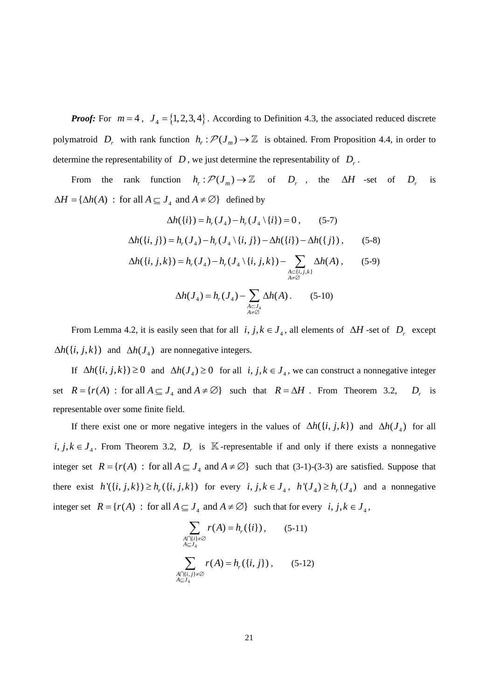*Proof:* For  $m = 4$ ,  $J_4 = \{1, 2, 3, 4\}$ . According to Definition 4.3, the associated reduced discrete polymatroid  $D_r$  with rank function  $h_r : \mathcal{P}(J_m) \to \mathbb{Z}$  is obtained. From Proposition 4.4, in order to determine the representability of  $D$ , we just determine the representability of  $D_r$ .

From the rank function  $h_r: \mathcal{P}(J_m) \to \mathbb{Z}$  of  $D_r$ , the  $\Delta H$  -set of  $D_r$  is  $\Delta H = {\Delta h(A) : \text{ for all } A \subseteq J_4 \text{ and } A \neq \emptyset}$  defined by *D*<sub>*x*</sub>

$$
\Delta h(\{i\}) = h_r(J_4) - h_r(J_4 \setminus \{i\}) = 0, \qquad (5-7)
$$
  

$$
\Delta h(\{i, j\}) = h_r(J_4) - h_r(J_4 \setminus \{i, j\}) - \Delta h(\{i\}) - \Delta h(\{j\}), \qquad (5-8)
$$
  

$$
\Delta h(\{i, j, k\}) = h_r(J_4) - h_r(J_4 \setminus \{i, j, k\}) - \sum_{\substack{A \subset \{i, j, k\} \\ A \neq \emptyset}} \Delta h(A), \qquad (5-9)
$$
  

$$
\Delta h(J_4) = h_r(J_4) - \sum_{\substack{A \subset J_4 \\ A \neq \emptyset}} \Delta h(A). \qquad (5-10)
$$

From Lemma 4.2, it is easily seen that for all  $i, j, k \in J_4$ , all elements of  $\Delta H$ -set of  $D_r$  except  $\Delta h({i, j, k})$  and  $\Delta h(J_4)$  are nonnegative integers.

If  $\Delta h({i, j, k}) \ge 0$  and  $\Delta h(J_4) \ge 0$  for all  $i, j, k \in J_4$ , we can construct a nonnegative integer set  $R = {r(A) : for all A \subseteq J_4 \text{ and } A \neq \emptyset}$  such that  $R = \Delta H$ . From Theorem 3.2, representable over some finite field.  $D<sub>r</sub>$  is

If there exist one or more negative integers in the values of  $\Delta h({i, j, k})$  and  $\Delta h(J_4)$  for all  $i, j, k \in J_4$ . From Theorem 3.2,  $D_r$  is K-representable if and only if there exists a nonnegative integer set  $R = \{r(A) : \text{for all } A \subseteq J_4 \text{ and } A \neq \emptyset\}$  such that (3-1)-(3-3) are satisfied. Suppose that there exist  $h'(\{i, j, k\}) \ge h_r(\{i, j, k\})$  for every  $i, j, k \in J_4$ ,  $h'(J_4) \ge h_r(J_4)$  and a nonnegative integer set  $R = \{r(A) : \text{ for all } A \subseteq J_4 \text{ and } A \neq \emptyset\}$  such that for every  $i, j, k \in J_4$ ,

$$
\sum_{\substack{A \cap \{i\} \neq \emptyset \\ A \subseteq J_4}} r(A) = h_r(\{i\}), \qquad (5-11)
$$
\n
$$
\sum_{\substack{A \cap \{i,j\} \neq \emptyset \\ A \subseteq J_4}} r(A) = h_r(\{i,j\}), \qquad (5-12)
$$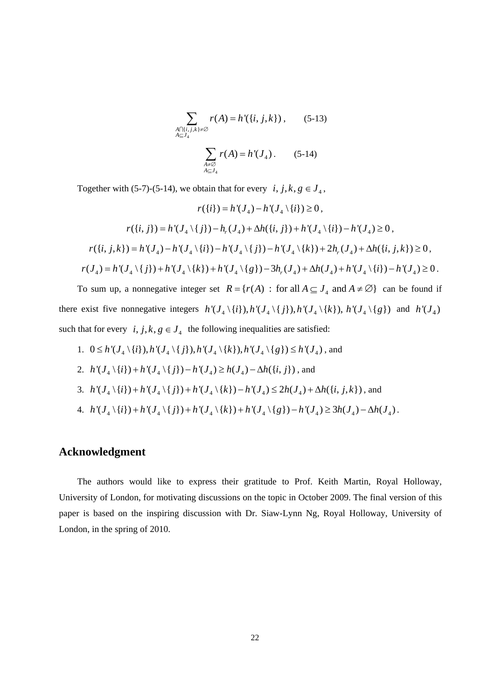$$
\sum_{\substack{A \cap \{i,j,k\} \neq \emptyset \\ A \subseteq J_4}} r(A) = h'(\{i,j,k\}), \qquad (5-13)
$$
\n
$$
\sum_{\substack{A \neq \emptyset \\ A \subseteq J_4}} r(A) = h'(J_4). \qquad (5-14)
$$

Together with (5-7)-(5-14), we obtain that for every  $i, j, k, g \in J_4$ ,

$$
r({i}) = h'(J_4) - h'(J_4 \setminus {i}) \ge 0,
$$
  

$$
r({i}, j) = h'(J_4 \setminus {j}) - h_r(J_4) + \Delta h({i}, j) + h'(J_4 \setminus {i}) - h'(J_4) \ge 0,
$$
  

$$
r({i}, j, k) = h'(J_4) - h'(J_4 \setminus {i}) - h'(J_4 \setminus {j}) - h'(J_4 \setminus {k}) + 2h_r(J_4) + \Delta h({i}, j, k) \ge 0,
$$
  

$$
r(J_4) = h'(J_4 \setminus {j}) + h'(J_4 \setminus {k}) + h'(J_4 \setminus {g}) - 3h_r(J_4) + \Delta h(J_4) + h'(J_4 \setminus {i}) - h'(J_4) \ge 0.
$$

To sum up, a nonnegative integer set  $R = \{r(A) : \text{ for all } A \subseteq J_4 \text{ and } A \neq \emptyset\}$  can be found if there exist five nonnegative integers  $h'(J_4 \setminus \{i\}), h'(J_4 \setminus \{i\}), h'(J_4 \setminus \{k\}), h'(J_4 \setminus \{g\})$  and  $h'(J_4)$ such that for every  $i, j, k, g \in J_4$  the following inequalities are satisfied:

- 1.  $0 \le h'(J_4 \setminus \{i\}), h'(J_4 \setminus \{j\}), h'(J_4 \setminus \{k\}), h'(J_4 \setminus \{g\}) \le h'(J_4)$ , and
- 2.  $h'(J_4 \setminus \{i\}) + h'(J_4 \setminus \{j\}) h'(J_4) \ge h(J_4) \Delta h(\{i, j\})$ , and

3. 
$$
h'(J_4 \setminus \{i\}) + h'(J_4 \setminus \{j\}) + h'(J_4 \setminus \{k\}) - h'(J_4) \leq 2h(J_4) + \Delta h(\{i, j, k\})
$$
, and

4. 
$$
h'(J_4 \setminus \{i\}) + h'(J_4 \setminus \{j\}) + h'(J_4 \setminus \{k\}) + h'(J_4 \setminus \{g\}) - h'(J_4) \ge 3h(J_4) - \Delta h(J_4)
$$
.

# **Acknowledgment**

The authors would like to express their gratitude to Prof. Keith Martin, Royal Holloway, University of London, for motivating discussions on the topic in October 2009. The final version of this paper is based on the inspiring discussion with Dr. Siaw-Lynn Ng, Royal Holloway, University of London, in the spring of 2010.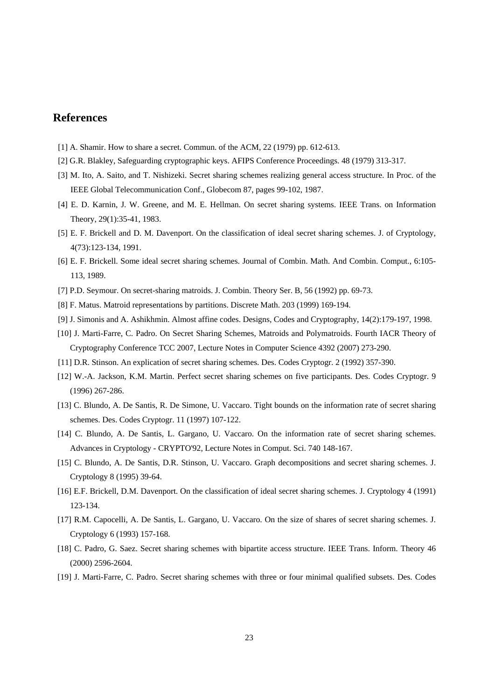# **References**

- [1] A. Shamir. How to share a secret. Commun. of the ACM, 22 (1979) pp. 612-613.
- [2] G.R. Blakley, Safeguarding cryptographic keys. AFIPS Conference Proceedings. 48 (1979) 313-317.
- [3] M. Ito, A. Saito, and T. Nishizeki. Secret sharing schemes realizing general access structure. In Proc. of the IEEE Global Telecommunication Conf., Globecom 87, pages 99-102, 1987.
- [4] E. D. Karnin, J. W. Greene, and M. E. Hellman. On secret sharing systems. IEEE Trans. on Information Theory, 29(1):35-41, 1983.
- [5] E. F. Brickell and D. M. Davenport. On the classification of ideal secret sharing schemes. J. of Cryptology, 4(73):123-134, 1991.
- [6] E. F. Brickell. Some ideal secret sharing schemes. Journal of Combin. Math. And Combin. Comput., 6:105- 113, 1989.
- [7] P.D. Seymour. On secret-sharing matroids. J. Combin. Theory Ser. B, 56 (1992) pp. 69-73.
- [8] F. Matus. Matroid representations by partitions. Discrete Math. 203 (1999) 169-194.
- [9] J. Simonis and A. Ashikhmin. Almost affine codes. Designs, Codes and Cryptography, 14(2):179-197, 1998.
- [10] J. Marti-Farre, C. Padro. On Secret Sharing Schemes, Matroids and Polymatroids. Fourth IACR Theory of Cryptography Conference TCC 2007, Lecture Notes in Computer Science 4392 (2007) 273-290.
- [11] D.R. Stinson. An explication of secret sharing schemes. Des. Codes Cryptogr. 2 (1992) 357-390.
- [12] W.-A. Jackson, K.M. Martin. Perfect secret sharing schemes on five participants. Des. Codes Cryptogr. 9 (1996) 267-286.
- [13] C. Blundo, A. De Santis, R. De Simone, U. Vaccaro. Tight bounds on the information rate of secret sharing schemes. Des. Codes Cryptogr. 11 (1997) 107-122.
- [14] C. Blundo, A. De Santis, L. Gargano, U. Vaccaro. On the information rate of secret sharing schemes. Advances in Cryptology - CRYPTO'92, Lecture Notes in Comput. Sci. 740 148-167.
- [15] C. Blundo, A. De Santis, D.R. Stinson, U. Vaccaro. Graph decompositions and secret sharing schemes. J. Cryptology 8 (1995) 39-64.
- [16] E.F. Brickell, D.M. Davenport. On the classification of ideal secret sharing schemes. J. Cryptology 4 (1991) 123-134.
- [17] R.M. Capocelli, A. De Santis, L. Gargano, U. Vaccaro. On the size of shares of secret sharing schemes. J. Cryptology 6 (1993) 157-168.
- [18] C. Padro, G. Saez. Secret sharing schemes with bipartite access structure. IEEE Trans. Inform. Theory 46 (2000) 2596-2604.
- [19] J. Marti-Farre, C. Padro. Secret sharing schemes with three or four minimal qualified subsets. Des. Codes